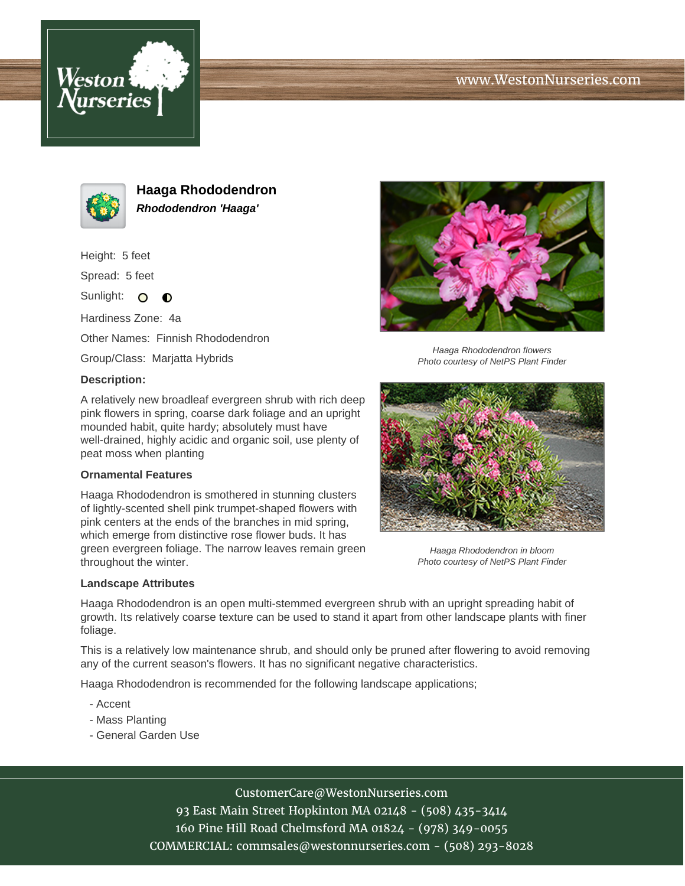





**Haaga Rhododendron Rhododendron 'Haaga'**

Height: 5 feet

Spread: 5 feet

Sunlight: O  $\bullet$ 

Hardiness Zone: 4a

Other Names: Finnish Rhododendron

Group/Class: Marjatta Hybrids

#### **Description:**



Haaga Rhododendron flowers Photo courtesy of NetPS Plant Finder

A relatively new broadleaf evergreen shrub with rich deep pink flowers in spring, coarse dark foliage and an upright mounded habit, quite hardy; absolutely must have well-drained, highly acidic and organic soil, use plenty of peat moss when planting

### **Ornamental Features**

Haaga Rhododendron is smothered in stunning clusters of lightly-scented shell pink trumpet-shaped flowers with pink centers at the ends of the branches in mid spring, which emerge from distinctive rose flower buds. It has green evergreen foliage. The narrow leaves remain green throughout the winter.



Haaga Rhododendron in bloom Photo courtesy of NetPS Plant Finder

### **Landscape Attributes**

Haaga Rhododendron is an open multi-stemmed evergreen shrub with an upright spreading habit of growth. Its relatively coarse texture can be used to stand it apart from other landscape plants with finer foliage.

This is a relatively low maintenance shrub, and should only be pruned after flowering to avoid removing any of the current season's flowers. It has no significant negative characteristics.

Haaga Rhododendron is recommended for the following landscape applications;

- Accent
- Mass Planting
- General Garden Use

# CustomerCare@WestonNurseries.com

93 East Main Street Hopkinton MA 02148 - (508) 435-3414 160 Pine Hill Road Chelmsford MA 01824 - (978) 349-0055 COMMERCIAL: commsales@westonnurseries.com - (508) 293-8028